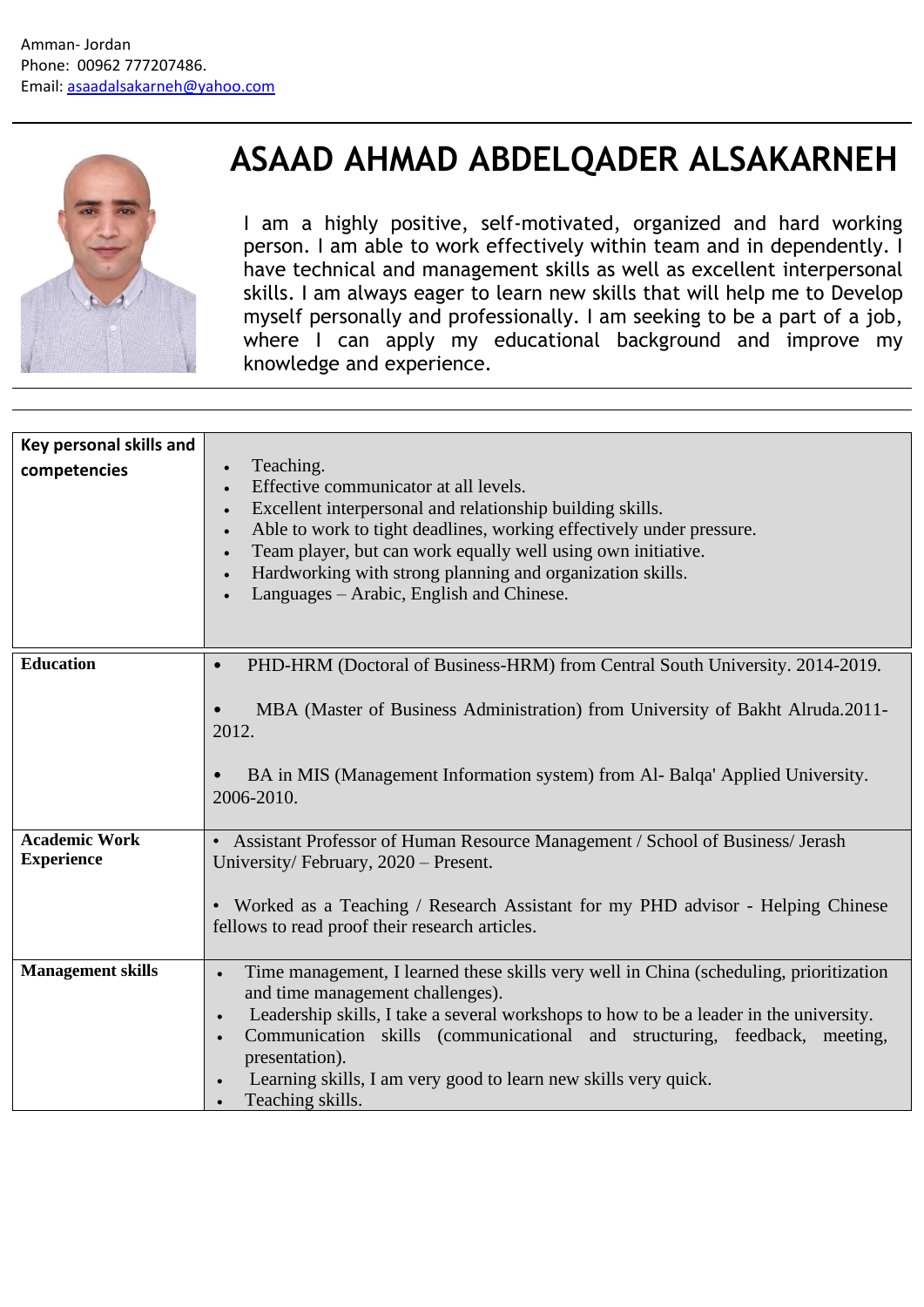

## **ASAAD AHMAD ABDELQADER ALSAKARNEH**

I am a highly positive, self-motivated, organized and hard working person. I am able to work effectively within team and in dependently. I have technical and management skills as well as excellent interpersonal skills. I am always eager to learn new skills that will help me to Develop myself personally and professionally. I am seeking to be a part of a job, where I can apply my educational background and improve my knowledge and experience.

| Key personal skills and<br>competencies   | Teaching.<br>Effective communicator at all levels.<br>Excellent interpersonal and relationship building skills.<br>Able to work to tight deadlines, working effectively under pressure.<br>Team player, but can work equally well using own initiative.<br>Hardworking with strong planning and organization skills.<br>Languages – Arabic, English and Chinese.                                                                     |
|-------------------------------------------|--------------------------------------------------------------------------------------------------------------------------------------------------------------------------------------------------------------------------------------------------------------------------------------------------------------------------------------------------------------------------------------------------------------------------------------|
| <b>Education</b>                          | PHD-HRM (Doctoral of Business-HRM) from Central South University. 2014-2019.<br>$\bullet$<br>MBA (Master of Business Administration) from University of Bakht Alruda.2011-<br>2012.<br>BA in MIS (Management Information system) from Al- Balqa' Applied University.<br>2006-2010.                                                                                                                                                   |
| <b>Academic Work</b><br><b>Experience</b> | • Assistant Professor of Human Resource Management / School of Business/ Jerash<br>University/February, 2020 – Present.<br>• Worked as a Teaching / Research Assistant for my PHD advisor - Helping Chinese<br>fellows to read proof their research articles.                                                                                                                                                                        |
| <b>Management skills</b>                  | Time management, I learned these skills very well in China (scheduling, prioritization<br>$\bullet$<br>and time management challenges).<br>Leadership skills, I take a several workshops to how to be a leader in the university.<br>Communication skills (communicational and structuring, feedback, meeting,<br>$\bullet$<br>presentation).<br>Learning skills, I am very good to learn new skills very quick.<br>Teaching skills. |